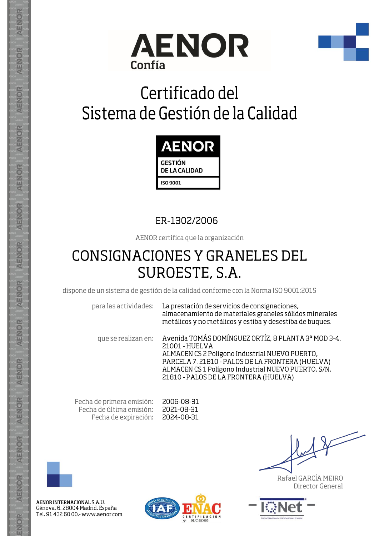



# Certificado del Sistema de Gestión de la Calidad



### ER-1302/2006

AENOR certifica que la organización

## **CONSIGNACIONES Y GRANELES DEL** SUROESTE, S.A.

dispone de un sistema de gestión de la calidad conforme con la Norma ISO 9001:2015

para las actividades: La prestación de servicios de consignaciones, almacenamiento de materiales graneles sólidos minerales metálicos y no metálicos y estiba y desestiba de buques.

que se realizan en:

Avenida TOMÁS DOMÍNGUEZ ORTÍZ, 8 PLANTA 3ª MOD 3-4. 21001 - HUELVA ALMACEN CS 2 Polígono Industrial NUEVO PUERTO, PARCELA 7. 21810 - PALOS DE LA FRONTERA (HUELVA) ALMACEN CS 1 Polígono Industrial NUEVO PUERTO, S/N. 21810 - PALOS DE LA FRONTERA (HUELVA)

Fecha de primera emisión: Fecha de última emisión: Fecha de expiración: 2006-08-31 2021-08-31 2024-08-31



AENOR

ENOR

AENOR

**AENOR** 

AENOR

AENOR

**AENOR** 

AENOR

AENOR

AENOR

AENOR

AENOR

AENOR

ENOR

AENOR INTERNACIONAL S.A.U. Génova, 6. 28004 Madrid. España Tel. 91 432 60 00.- www.aenor.com



Rafael GARCÍA MEIRO Director General

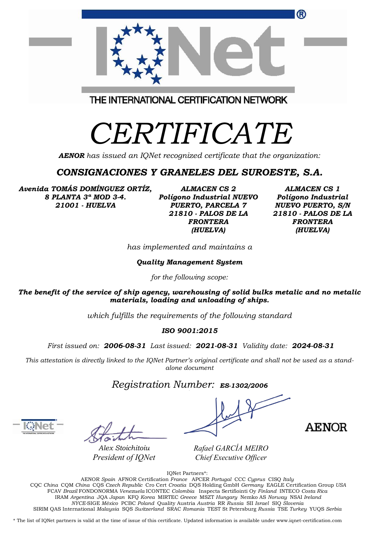| ®                                                                              |  |
|--------------------------------------------------------------------------------|--|
|                                                                                |  |
| THE INTERNATIONAL CERTIFICATION NETWORK                                        |  |
| CERTIFICATE                                                                    |  |
| <b>AENOR</b> has issued an IQNet recognized certificate that the organization: |  |

### *CONSIGNACIONES Y GRANELES DEL SUROESTE, S.A.*

*Avenida TOMÁS DOMÍNGUEZ ORTÍZ, 8 PLANTA 3ª MOD 3-4. 21001 - HUELVA*

*ALMACEN CS 2 Polígono Industrial NUEVO PUERTO, PARCELA 7 21810 - PALOS DE LA FRONTERA (HUELVA)*

*ALMACEN CS 1 Polígono Industrial NUEVO PUERTO, S/N 21810 - PALOS DE LA FRONTERA (HUELVA)*

*has implemented and maintains a*

*Quality Management System*

*for the following scope:* 

*The benefit of the service of ship agency, warehousing of solid bulks metalic and no metalic materials, loading and unloading of ships.*

*which fulfills the requirements of the following standard*

#### *ISO 9001:2015*

*First issued on: 2006-08-31 Last issued: 2021-08-31 Validity date: 2024-08-31*

This attestation is directly linked to the IQNet Partner's original certificate and shall not be used as a stand*alone document*

*Registration Number: ES-1302/2006*

*Alex Stoichitoiu President of IQNet*

**AENOR** 

*Rafael GARCÍA MEIRO Chief Executive Officer*

IQNet Partners\*:

AENOR *Spain* AFNOR Certification *France* APCER *Portugal* CCC *Cyprus* CISQ *Italy* CQC *China* CQM *China* CQS *Czech Republic* Cro Cert *Croatia* DQS Holding GmbH *Germany* EAGLE Certification Group *USA* FCAV *Brazil* FONDONORMA *Venezuela* ICONTEC *Colombia* Inspecta Sertifiointi Oy *Finland* INTECO *Costa Rica* IRAM *Argentina* JQA *Japan* KFQ *Korea* MIRTEC *Greece* MSZT *Hungary* Nemko AS *Norway* NSAI *Ireland NYCE-*SIGE *México* PCBC *Poland* Quality Austria *Austria* RR *Russia* SII *Israel* SIQ *Slovenia*  SIRIM QAS International *Malaysia* SQS *Switzerland* SRAC *Romania* TEST St Petersburg *Russia* TSE *Turkey* YUQS *Serbia*

\* The list of IQNet partners is valid at the time of issue of this certificate. Updated information is available under www.iqnet-certification.com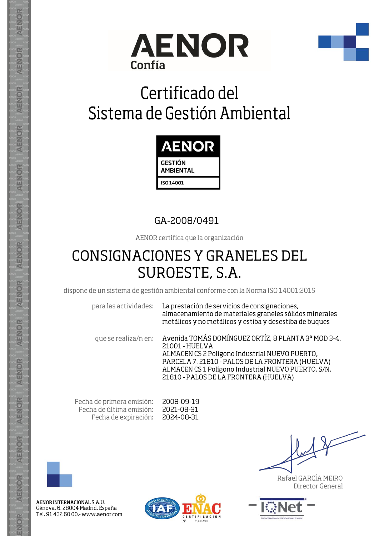



# Certificado del Sistema de Gestión Ambiental



### GA-2008/0491

AENOR certifica que la organización

## **CONSIGNACIONES Y GRANELES DEL** SUROESTE, S.A.

dispone de un sistema de gestión ambiental conforme con la Norma ISO 14001:2015

para las actividades: La prestación de servicios de consignaciones, almacenamiento de materiales graneles sólidos minerales metálicos y no metálicos y estiba y desestiba de buques

que se realiza/n en:

Avenida TOMÁS DOMÍNGUEZ ORTÍZ, 8 PLANTA 3ª MOD 3-4. 21001 - HUELVA ALMACEN CS 2 Polígono Industrial NUEVO PUERTO, PARCELA 7. 21810 - PALOS DE LA FRONTERA (HUELVA) ALMACEN CS 1 Polígono Industrial NUEVO PUERTO, S/N. 21810 - PALOS DE LA FRONTERA (HUELVA)

Fecha de primera emisión: Fecha de última emisión: Fecha de expiración: 2008-09-19 2021-08-31 2024-08-31



AENOR

ENOR

AENOR

**AENOR** 

AENOR

AENOR

**AENOR** 

AENOR

AENOR

AENOR

AENOR

AENOR

AENOR

ENOR

AENOR INTERNACIONAL S.A.U. Génova, 6. 28004 Madrid. España Tel. 91 432 60 00.- www.aenor.com



Rafael GARCÍA MEIRO Director General